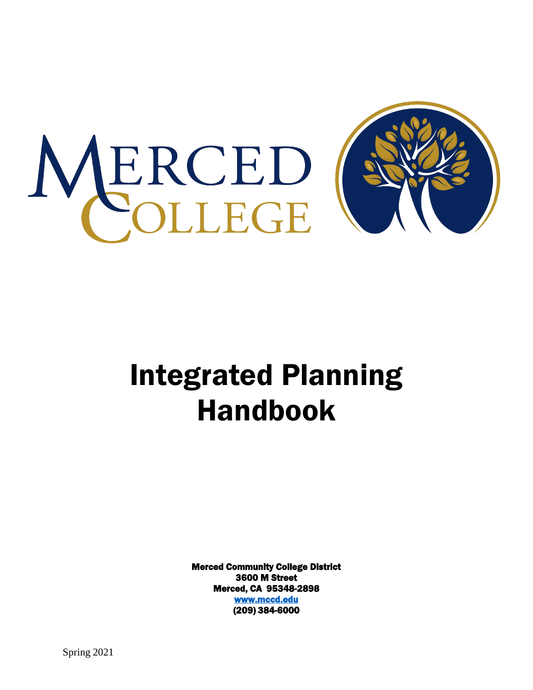

# Integrated Planning Handbook

Merced Community College District 3600 M Street Merced, CA 95348-2898 [www.mccd.edu](http://www.mccd.edu/)  (209) 384-6000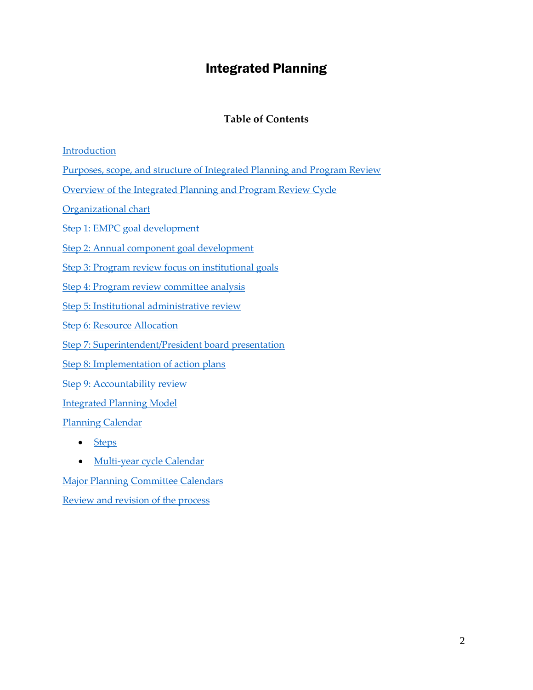# Integrated Planning

## **Table of Contents**

## [Introduction](#page-2-0)

Purposes, scope, and structure of [Integrated](#page-2-1) Planning and Program Review

[Overview of the Integrated Planning and Program Review Cycle](#page-4-0)

[Organizational](#page-5-0) chart

Step 1: EMPC goal [development](#page-5-0)

Step 2: Annual component goal [development](#page-6-0)

[Step 3: Program review focus on institutional goals](#page-6-1)

Step 4: Program review [committee](#page-6-2) analysis

[Step 5: Institutional administrative review](#page-7-0)

**Step [6: Resource](#page-7-1) Allocation** 

[Step 7: Superintendent/President board presentation](#page-8-0)

Step [8: Implementation of action plans](#page-8-1)

[Step 9: Accountability review](#page-8-2)

[Integrated Planning Model](#page-7-2)

Planning [Calendar](#page-9-0)

- [Steps](#page-9-0)
- [Multi-year cycle Calendar](#page-10-0)

[Major Planning Committee Calendars](#page-11-0)

Review and [revision](#page-14-0) of the process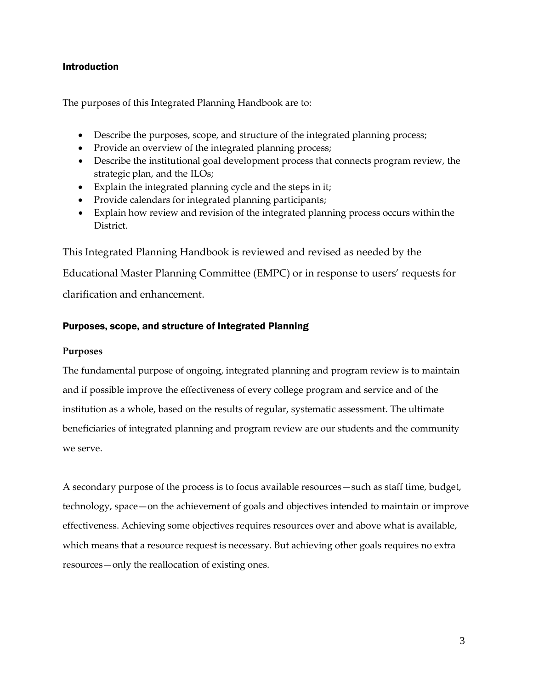## <span id="page-2-0"></span>Introduction

The purposes of this Integrated Planning Handbook are to:

- Describe the purposes, scope, and structure of the integrated planning process;
- Provide an overview of the integrated planning process;
- Describe the institutional goal development process that connects program review, the strategic plan, and the ILOs;
- Explain the integrated planning cycle and the steps in it;
- Provide calendars for integrated planning participants;
- Explain how review and revision of the integrated planning process occurs within the District.

This Integrated Planning Handbook is reviewed and revised as needed by the

Educational Master Planning Committee (EMPC) or in response to users' requests for clarification and enhancement.

## <span id="page-2-1"></span>Purposes, scope, and structure of Integrated Planning

## **Purposes**

The fundamental purpose of ongoing, integrated planning and program review is to maintain and if possible improve the effectiveness of every college program and service and of the institution as a whole, based on the results of regular, systematic assessment. The ultimate beneficiaries of integrated planning and program review are our students and the community we serve.

A secondary purpose of the process is to focus available resources—such as staff time, budget, technology, space—on the achievement of goals and objectives intended to maintain or improve effectiveness. Achieving some objectives requires resources over and above what is available, which means that a resource request is necessary. But achieving other goals requires no extra resources—only the reallocation of existing ones.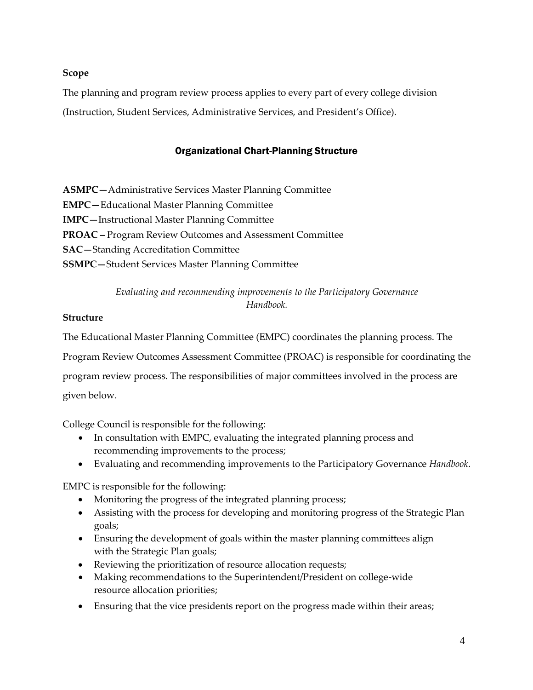## **Scope**

The planning and program review process applies to every part of every college division (Instruction, Student Services, Administrative Services, and President's Office).

## Organizational Chart-Planning Structure

**ASMPC—**Administrative Services Master Planning Committee **EMPC—**Educational Master Planning Committee **IMPC—**Instructional Master Planning Committee **PROAC –** Program Review Outcomes and Assessment Committee **SAC—**Standing Accreditation Committee **SSMPC—**Student Services Master Planning Committee

> *Evaluating and recommending improvements to the Participatory Governance Handbook.*

## **Structure**

The Educational Master Planning Committee (EMPC) coordinates the planning process. The Program Review Outcomes Assessment Committee (PROAC) is responsible for coordinating the program review process. The responsibilities of major committees involved in the process are given below.

College Council is responsible for the following:

- In consultation with EMPC, evaluating the integrated planning process and recommending improvements to the process;
- Evaluating and recommending improvements to the Participatory Governance *Handbook*.

EMPC is responsible for the following:

- Monitoring the progress of the integrated planning process;
- Assisting with the process for developing and monitoring progress of the Strategic Plan goals;
- Ensuring the development of goals within the master planning committees align with the Strategic Plan goals;
- Reviewing the prioritization of resource allocation requests;
- Making recommendations to the Superintendent/President on college-wide resource allocation priorities;
- Ensuring that the vice presidents report on the progress made within their areas;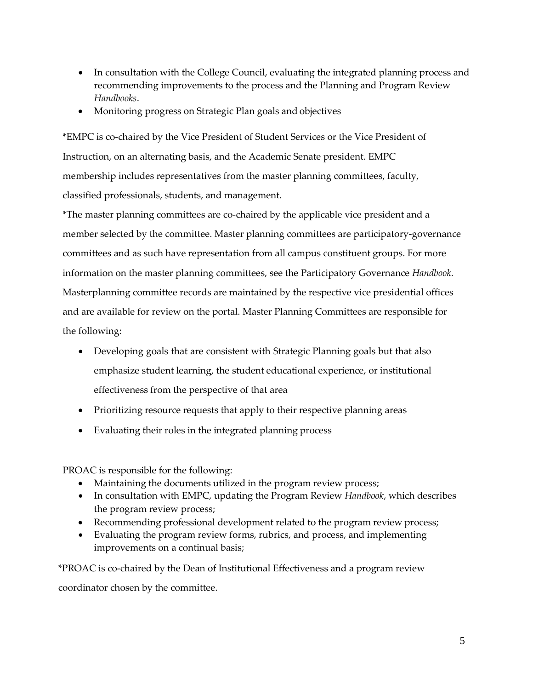- In consultation with the College Council, evaluating the integrated planning process and recommending improvements to the process and the Planning and Program Review *Handbooks*.
- Monitoring progress on Strategic Plan goals and objectives

\*EMPC is co-chaired by the Vice President of Student Services or the Vice President of Instruction, on an alternating basis, and the Academic Senate president. EMPC membership includes representatives from the master planning committees, faculty, classified professionals, students, and management.

\*The master planning committees are co-chaired by the applicable vice president and a member selected by the committee. Master planning committees are participatory-governance committees and as such have representation from all campus constituent groups. For more information on the master planning committees, see the Participatory Governance *Handbook*. Masterplanning committee records are maintained by the respective vice presidential offices and are available for review on the portal. Master Planning Committees are responsible for the following:

- Developing goals that are consistent with Strategic Planning goals but that also emphasize student learning, the student educational experience, or institutional effectiveness from the perspective of that area
- Prioritizing resource requests that apply to their respective planning areas
- Evaluating their roles in the integrated planning process

PROAC is responsible for the following:

- Maintaining the documents utilized in the program review process;
- In consultation with EMPC, updating the Program Review *Handbook*, which describes the program review process;
- Recommending professional development related to the program review process;
- Evaluating the program review forms, rubrics, and process, and implementing improvements on a continual basis;

<span id="page-4-0"></span>\*PROAC is co-chaired by the Dean of Institutional Effectiveness and a program review coordinator chosen by the committee.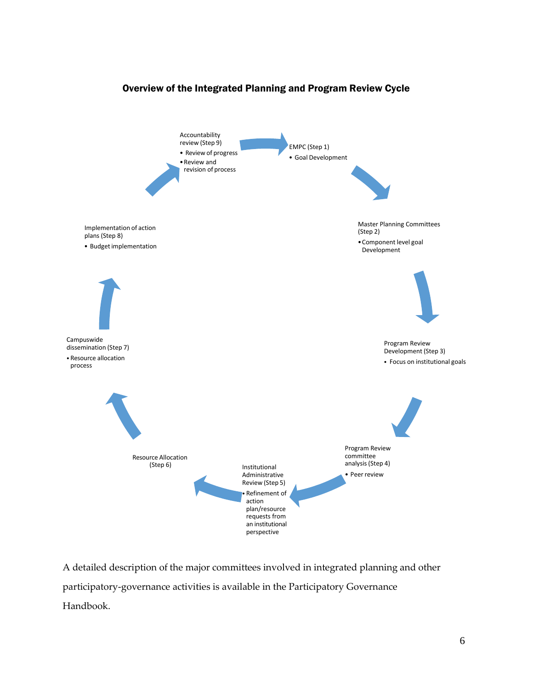<span id="page-5-0"></span>

## Overview of the Integrated Planning and Program Review Cycle

A detailed description of the major committees involved in integrated planning and other participatory-governance activities is available in the Participatory Governance Handbook.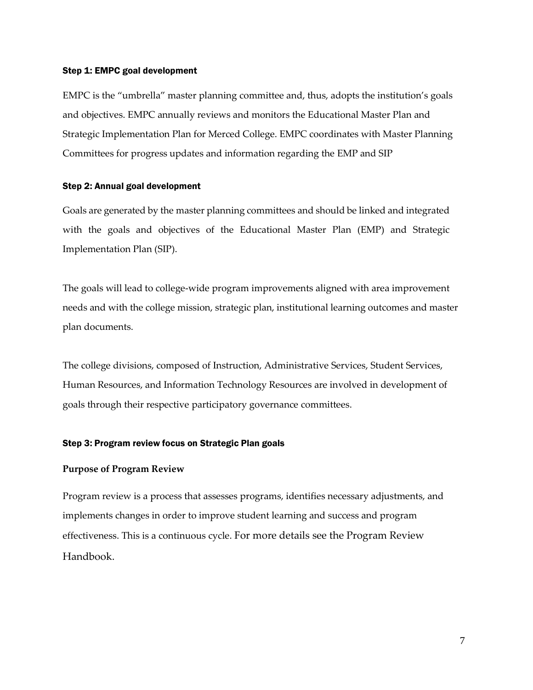#### Step 1: EMPC goal development

EMPC is the "umbrella" master planning committee and, thus, adopts the institution's goals and objectives. EMPC annually reviews and monitors the Educational Master Plan and Strategic Implementation Plan for Merced College. EMPC coordinates with Master Planning Committees for progress updates and information regarding the EMP and SIP

#### <span id="page-6-0"></span>Step 2: Annual goal development

Goals are generated by the master planning committees and should be linked and integrated with the goals and objectives of the Educational Master Plan (EMP) and Strategic Implementation Plan (SIP).

The goals will lead to college-wide program improvements aligned with area improvement needs and with the college mission, strategic plan, institutional learning outcomes and master plan documents.

The college divisions, composed of Instruction, Administrative Services, Student Services, Human Resources, and Information Technology Resources are involved in development of goals through their respective participatory governance committees.

#### <span id="page-6-1"></span>Step 3: Program review focus on Strategic Plan goals

#### **Purpose of Program Review**

<span id="page-6-2"></span>Program review is a process that assesses programs, identifies necessary adjustments, and implements changes in order to improve student learning and success and program effectiveness. This is a continuous cycle. For more details see the Program Review Handbook.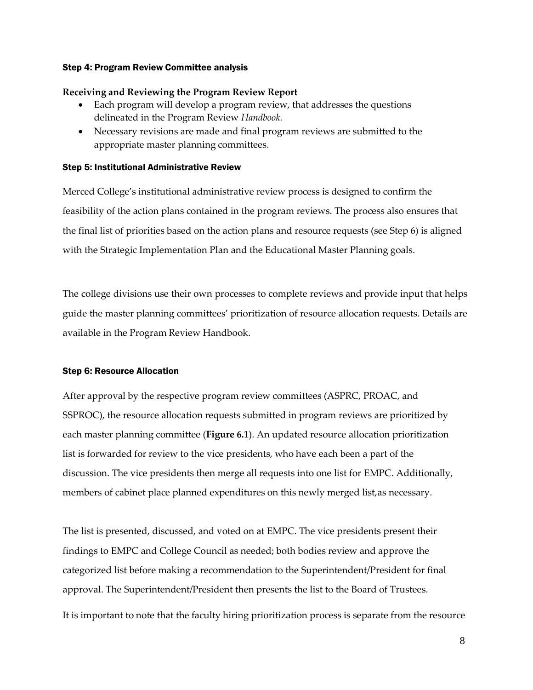#### Step 4: Program Review Committee analysis

#### **Receiving and Reviewing the Program Review Report**

- Each program will develop a program review, that addresses the questions delineated in the Program Review *Handbook.*
- Necessary revisions are made and final program reviews are submitted to the appropriate master planning committees.

## <span id="page-7-0"></span>Step 5: Institutional Administrative Review

Merced College's institutional administrative review process is designed to confirm the feasibility of the action plans contained in the program reviews. The process also ensures that the final list of priorities based on the action plans and resource requests (see Step 6) is aligned with the Strategic Implementation Plan and the Educational Master Planning goals.

The college divisions use their own processes to complete reviews and provide input that helps guide the master planning committees' prioritization of resource allocation requests. Details are available in the Program Review Handbook.

#### <span id="page-7-1"></span>Step 6: Resource Allocation

<span id="page-7-2"></span>After approval by the respective program review committees (ASPRC, PROAC, and SSPROC), the resource allocation requests submitted in program reviews are prioritized by each master planning committee (**Figure 6.1**). An updated resource allocation prioritization list is forwarded for review to the vice presidents, who have each been a part of the discussion. The vice presidents then merge all requests into one list for EMPC. Additionally, members of cabinet place planned expenditures on this newly merged list,as necessary.

The list is presented, discussed, and voted on at EMPC. The vice presidents present their findings to EMPC and College Council as needed; both bodies review and approve the categorized list before making a recommendation to the Superintendent/President for final approval. The Superintendent/President then presents the list to the Board of Trustees. It is important to note that the faculty hiring prioritization process is separate from the resource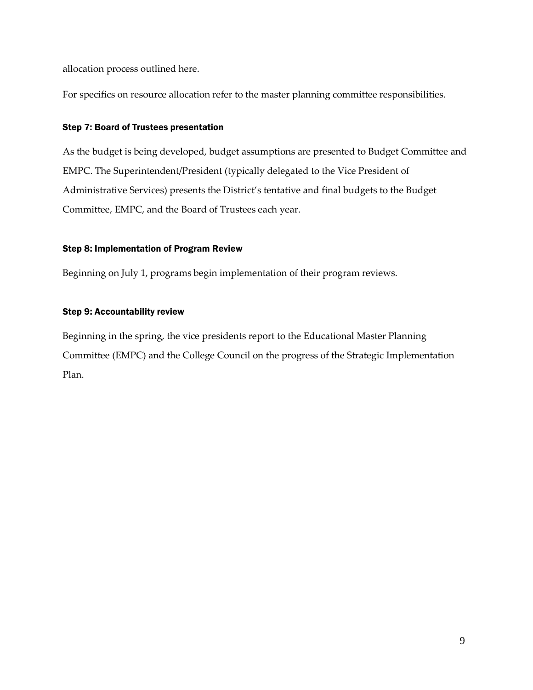allocation process outlined here.

For specifics on resource allocation refer to the master planning committee responsibilities.

## <span id="page-8-0"></span>Step 7: Board of Trustees presentation

As the budget is being developed, budget assumptions are presented to Budget Committee and EMPC. The Superintendent/President (typically delegated to the Vice President of Administrative Services) presents the District's tentative and final budgets to the Budget Committee, EMPC, and the Board of Trustees each year.

## <span id="page-8-1"></span>Step 8: Implementation of Program Review

Beginning on July 1, programs begin implementation of their program reviews.

## <span id="page-8-2"></span>Step 9: Accountability review

Beginning in the spring, the vice presidents report to the Educational Master Planning Committee (EMPC) and the College Council on the progress of the Strategic Implementation Plan.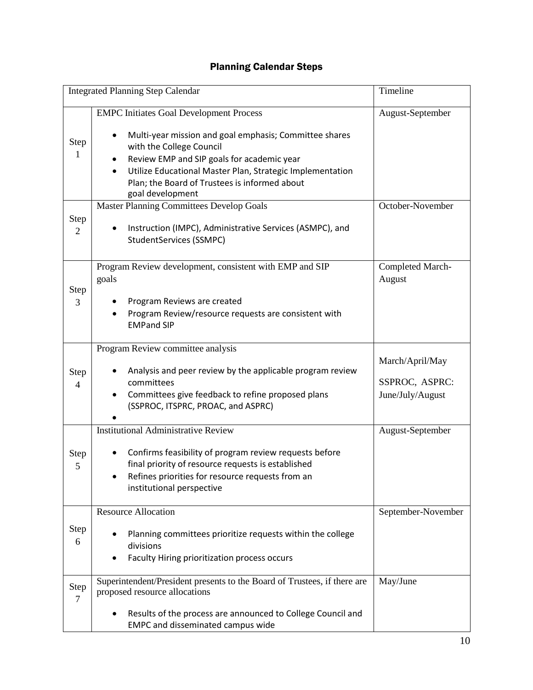## Planning Calendar Steps

<span id="page-9-0"></span>

|                        | Timeline<br><b>Integrated Planning Step Calendar</b>                                                                                                                                                                                                                                                                                                                    |                                                       |  |
|------------------------|-------------------------------------------------------------------------------------------------------------------------------------------------------------------------------------------------------------------------------------------------------------------------------------------------------------------------------------------------------------------------|-------------------------------------------------------|--|
| Step<br>1              | <b>EMPC Initiates Goal Development Process</b><br>Multi-year mission and goal emphasis; Committee shares<br>with the College Council<br>Review EMP and SIP goals for academic year<br>Utilize Educational Master Plan, Strategic Implementation<br>Plan; the Board of Trustees is informed about<br>goal development<br><b>Master Planning Committees Develop Goals</b> | August-September<br>October-November                  |  |
| Step<br>$\overline{2}$ | Instruction (IMPC), Administrative Services (ASMPC), and<br>StudentServices (SSMPC)                                                                                                                                                                                                                                                                                     |                                                       |  |
| Step<br>3              | Program Review development, consistent with EMP and SIP<br>goals<br>Program Reviews are created<br>Program Review/resource requests are consistent with<br><b>EMPand SIP</b>                                                                                                                                                                                            | Completed March-<br>August                            |  |
| Step<br>$\overline{4}$ | Program Review committee analysis<br>Analysis and peer review by the applicable program review<br>committees<br>Committees give feedback to refine proposed plans<br>٠<br>(SSPROC, ITSPRC, PROAC, and ASPRC)                                                                                                                                                            | March/April/May<br>SSPROC, ASPRC:<br>June/July/August |  |
| Step<br>5              | <b>Institutional Administrative Review</b><br>Confirms feasibility of program review requests before<br>final priority of resource requests is established<br>Refines priorities for resource requests from an<br>institutional perspective                                                                                                                             | August-September                                      |  |
| Step<br>6              | <b>Resource Allocation</b><br>Planning committees prioritize requests within the college<br>divisions<br>Faculty Hiring prioritization process occurs                                                                                                                                                                                                                   | September-November                                    |  |
| Step<br>7              | Superintendent/President presents to the Board of Trustees, if there are<br>proposed resource allocations<br>Results of the process are announced to College Council and<br><b>EMPC and disseminated campus wide</b>                                                                                                                                                    | May/June                                              |  |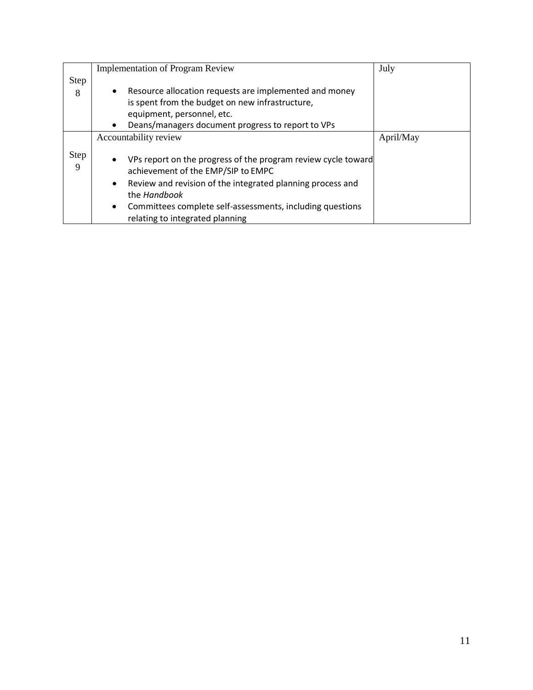<span id="page-10-0"></span>

|                  | <b>Implementation of Program Review</b>                                                                                                                                                                                                                                                                                  | July      |
|------------------|--------------------------------------------------------------------------------------------------------------------------------------------------------------------------------------------------------------------------------------------------------------------------------------------------------------------------|-----------|
| <b>Step</b>      |                                                                                                                                                                                                                                                                                                                          |           |
| 8                | Resource allocation requests are implemented and money<br>$\bullet$                                                                                                                                                                                                                                                      |           |
|                  | is spent from the budget on new infrastructure,                                                                                                                                                                                                                                                                          |           |
|                  | equipment, personnel, etc.                                                                                                                                                                                                                                                                                               |           |
|                  | Deans/managers document progress to report to VPs<br>$\bullet$                                                                                                                                                                                                                                                           |           |
|                  | Accountability review                                                                                                                                                                                                                                                                                                    | April/May |
| <b>Step</b><br>9 | VPs report on the progress of the program review cycle toward<br>$\bullet$<br>achievement of the EMP/SIP to EMPC<br>Review and revision of the integrated planning process and<br>$\bullet$<br>the Handbook<br>Committees complete self-assessments, including questions<br>$\bullet$<br>relating to integrated planning |           |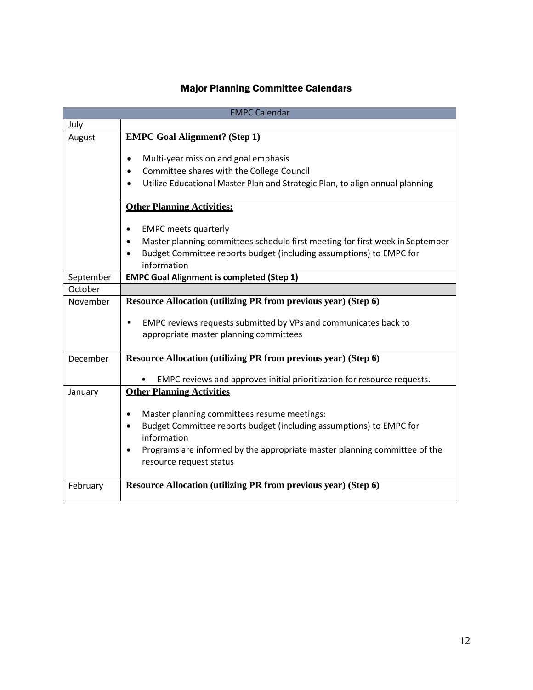# Major Planning Committee Calendars

<span id="page-11-0"></span>

|           | <b>EMPC Calendar</b>                                                                                              |
|-----------|-------------------------------------------------------------------------------------------------------------------|
| July      |                                                                                                                   |
| August    | <b>EMPC Goal Alignment? (Step 1)</b>                                                                              |
|           | Multi-year mission and goal emphasis<br>$\bullet$                                                                 |
|           | Committee shares with the College Council<br>$\bullet$                                                            |
|           | Utilize Educational Master Plan and Strategic Plan, to align annual planning                                      |
|           | <b>Other Planning Activities:</b>                                                                                 |
|           | <b>EMPC meets quarterly</b><br>$\bullet$                                                                          |
|           | Master planning committees schedule first meeting for first week in September<br>$\bullet$                        |
|           | Budget Committee reports budget (including assumptions) to EMPC for<br>$\bullet$<br>information                   |
| September | <b>EMPC Goal Alignment is completed (Step 1)</b>                                                                  |
| October   |                                                                                                                   |
| November  | <b>Resource Allocation (utilizing PR from previous year) (Step 6)</b>                                             |
|           | EMPC reviews requests submitted by VPs and communicates back to<br>٠                                              |
|           | appropriate master planning committees                                                                            |
| December  | <b>Resource Allocation (utilizing PR from previous year) (Step 6)</b>                                             |
|           | EMPC reviews and approves initial prioritization for resource requests.                                           |
| January   | <b>Other Planning Activities</b>                                                                                  |
|           | Master planning committees resume meetings:<br>٠                                                                  |
|           | Budget Committee reports budget (including assumptions) to EMPC for<br>$\bullet$<br>information                   |
|           | Programs are informed by the appropriate master planning committee of the<br>$\bullet$<br>resource request status |
|           |                                                                                                                   |
| February  | Resource Allocation (utilizing PR from previous year) (Step 6)                                                    |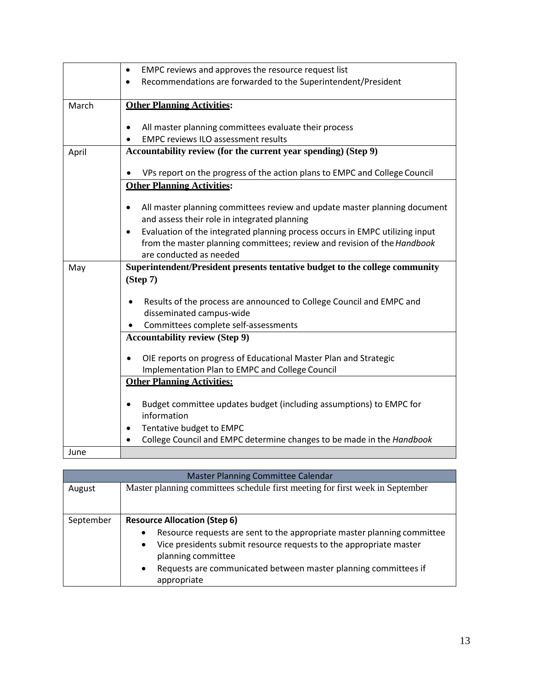|       | EMPC reviews and approves the resource request list<br>$\bullet$                       |
|-------|----------------------------------------------------------------------------------------|
|       | Recommendations are forwarded to the Superintendent/President                          |
|       |                                                                                        |
| March | <b>Other Planning Activities:</b>                                                      |
|       |                                                                                        |
|       | All master planning committees evaluate their process<br>$\bullet$                     |
|       | <b>EMPC reviews ILO assessment results</b>                                             |
| April | Accountability review (for the current year spending) (Step 9)                         |
|       |                                                                                        |
|       | VPs report on the progress of the action plans to EMPC and College Council             |
|       | <b>Other Planning Activities:</b>                                                      |
|       | All master planning committees review and update master planning document<br>$\bullet$ |
|       | and assess their role in integrated planning                                           |
|       | $\bullet$                                                                              |
|       | Evaluation of the integrated planning process occurs in EMPC utilizing input           |
|       | from the master planning committees; review and revision of the Handbook               |
|       | are conducted as needed                                                                |
| May   | Superintendent/President presents tentative budget to the college community            |
|       |                                                                                        |
|       | (Stop 7)                                                                               |
|       |                                                                                        |
|       | Results of the process are announced to College Council and EMPC and                   |
|       | disseminated campus-wide                                                               |
|       | Committees complete self-assessments                                                   |
|       | <b>Accountability review (Step 9)</b>                                                  |
|       |                                                                                        |
|       | OIE reports on progress of Educational Master Plan and Strategic                       |
|       | Implementation Plan to EMPC and College Council                                        |
|       | <b>Other Planning Activities:</b>                                                      |
|       | $\bullet$                                                                              |
|       | Budget committee updates budget (including assumptions) to EMPC for<br>information     |
|       | $\bullet$                                                                              |
|       | Tentative budget to EMPC                                                               |
| June  | College Council and EMPC determine changes to be made in the Handbook                  |

| <b>Master Planning Committee Calendar</b> |                                                                                                                                                                                                                                                                                                                                     |
|-------------------------------------------|-------------------------------------------------------------------------------------------------------------------------------------------------------------------------------------------------------------------------------------------------------------------------------------------------------------------------------------|
| August                                    | Master planning committees schedule first meeting for first week in September                                                                                                                                                                                                                                                       |
| September                                 | <b>Resource Allocation (Step 6)</b><br>Resource requests are sent to the appropriate master planning committee<br>$\bullet$<br>Vice presidents submit resource requests to the appropriate master<br>$\bullet$<br>planning committee<br>Requests are communicated between master planning committees if<br>$\bullet$<br>appropriate |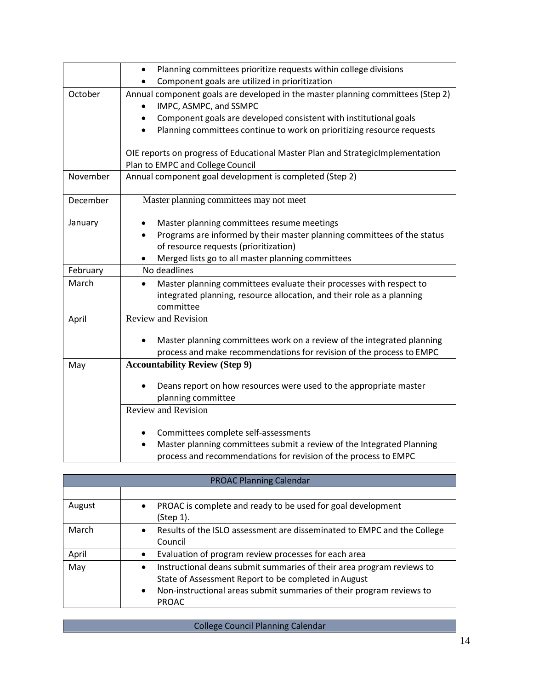|          | Planning committees prioritize requests within college divisions<br>Component goals are utilized in prioritization     |
|----------|------------------------------------------------------------------------------------------------------------------------|
|          |                                                                                                                        |
| October  | Annual component goals are developed in the master planning committees (Step 2)<br>IMPC, ASMPC, and SSMPC<br>$\bullet$ |
|          | Component goals are developed consistent with institutional goals                                                      |
|          | Planning committees continue to work on prioritizing resource requests                                                 |
|          | OIE reports on progress of Educational Master Plan and StrategicImplementation                                         |
|          | Plan to EMPC and College Council                                                                                       |
| November | Annual component goal development is completed (Step 2)                                                                |
| December | Master planning committees may not meet                                                                                |
| January  | Master planning committees resume meetings                                                                             |
|          | Programs are informed by their master planning committees of the status                                                |
|          | of resource requests (prioritization)                                                                                  |
|          | Merged lists go to all master planning committees<br>٠                                                                 |
| February | No deadlines                                                                                                           |
| March    | Master planning committees evaluate their processes with respect to                                                    |
|          | integrated planning, resource allocation, and their role as a planning                                                 |
|          | committee                                                                                                              |
| April    | Review and Revision                                                                                                    |
|          |                                                                                                                        |
|          | Master planning committees work on a review of the integrated planning                                                 |
|          | process and make recommendations for revision of the process to EMPC                                                   |
| May      | <b>Accountability Review (Step 9)</b>                                                                                  |
|          | Deans report on how resources were used to the appropriate master                                                      |
|          | planning committee                                                                                                     |
|          | <b>Review and Revision</b>                                                                                             |
|          |                                                                                                                        |
|          | Committees complete self-assessments                                                                                   |
|          | Master planning committees submit a review of the Integrated Planning                                                  |
|          | process and recommendations for revision of the process to EMPC                                                        |

| <b>PROAC Planning Calendar</b> |                                                                                                                                                                                                                                                 |
|--------------------------------|-------------------------------------------------------------------------------------------------------------------------------------------------------------------------------------------------------------------------------------------------|
|                                |                                                                                                                                                                                                                                                 |
| August                         | PROAC is complete and ready to be used for goal development<br>$\bullet$<br>(Step 1).                                                                                                                                                           |
| March                          | Results of the ISLO assessment are disseminated to EMPC and the College<br>$\bullet$<br>Council                                                                                                                                                 |
| April                          | Evaluation of program review processes for each area<br>$\bullet$                                                                                                                                                                               |
| May                            | Instructional deans submit summaries of their area program reviews to<br>$\bullet$<br>State of Assessment Report to be completed in August<br>Non-instructional areas submit summaries of their program reviews to<br>$\bullet$<br><b>PROAC</b> |

College Council Planning Calendar